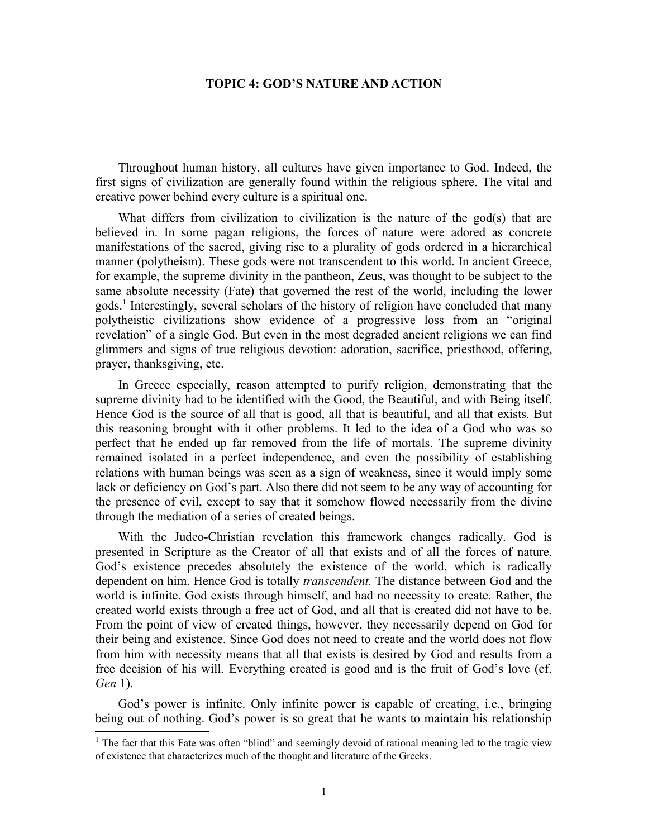## **TOPIC 4: GOD'S NATURE AND ACTION**

Throughout human history, all cultures have given importance to God. Indeed, the first signs of civilization are generally found within the religious sphere. The vital and creative power behind every culture is a spiritual one.

What differs from civilization to civilization is the nature of the god(s) that are believed in. In some pagan religions, the forces of nature were adored as concrete manifestations of the sacred, giving rise to a plurality of gods ordered in a hierarchical manner (polytheism). These gods were not transcendent to this world. In ancient Greece, for example, the supreme divinity in the pantheon, Zeus, was thought to be subject to the same absolute necessity (Fate) that governed the rest of the world, including the lower gods.[1](#page-0-0) Interestingly, several scholars of the history of religion have concluded that many polytheistic civilizations show evidence of a progressive loss from an "original revelation" of a single God. But even in the most degraded ancient religions we can find glimmers and signs of true religious devotion: adoration, sacrifice, priesthood, offering, prayer, thanksgiving, etc.

In Greece especially, reason attempted to purify religion, demonstrating that the supreme divinity had to be identified with the Good, the Beautiful, and with Being itself. Hence God is the source of all that is good, all that is beautiful, and all that exists. But this reasoning brought with it other problems. It led to the idea of a God who was so perfect that he ended up far removed from the life of mortals. The supreme divinity remained isolated in a perfect independence, and even the possibility of establishing relations with human beings was seen as a sign of weakness, since it would imply some lack or deficiency on God's part. Also there did not seem to be any way of accounting for the presence of evil, except to say that it somehow flowed necessarily from the divine through the mediation of a series of created beings.

With the Judeo-Christian revelation this framework changes radically. God is presented in Scripture as the Creator of all that exists and of all the forces of nature. God's existence precedes absolutely the existence of the world, which is radically dependent on him. Hence God is totally *transcendent.* The distance between God and the world is infinite. God exists through himself, and had no necessity to create. Rather, the created world exists through a free act of God, and all that is created did not have to be. From the point of view of created things, however, they necessarily depend on God for their being and existence. Since God does not need to create and the world does not flow from him with necessity means that all that exists is desired by God and results from a free decision of his will. Everything created is good and is the fruit of God's love (cf. *Gen* 1).

God's power is infinite. Only infinite power is capable of creating, i.e., bringing being out of nothing. God's power is so great that he wants to maintain his relationship

<span id="page-0-0"></span><sup>&</sup>lt;sup>1</sup> The fact that this Fate was often "blind" and seemingly devoid of rational meaning led to the tragic view of existence that characterizes much of the thought and literature of the Greeks.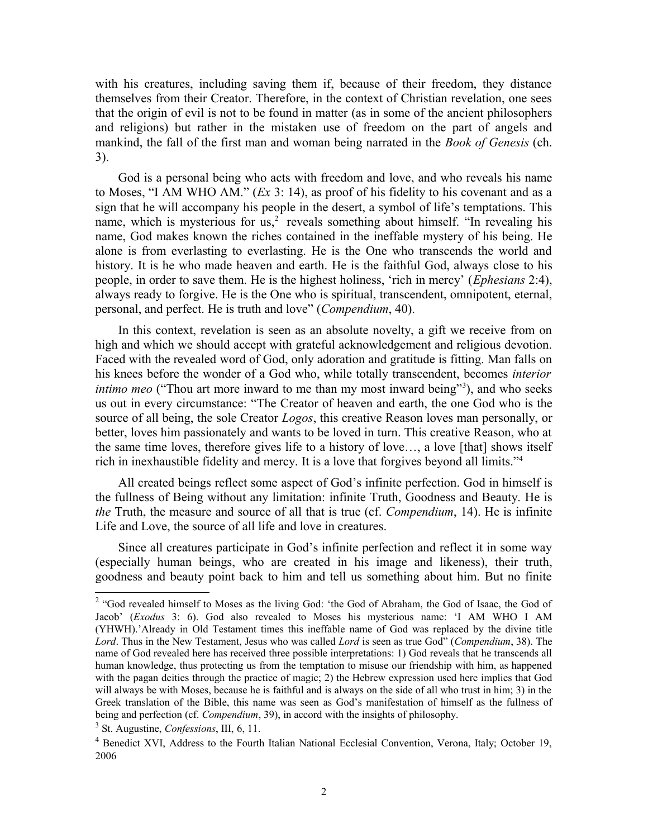with his creatures, including saving them if, because of their freedom, they distance themselves from their Creator. Therefore, in the context of Christian revelation, one sees that the origin of evil is not to be found in matter (as in some of the ancient philosophers and religions) but rather in the mistaken use of freedom on the part of angels and mankind, the fall of the first man and woman being narrated in the *Book of Genesis* (ch. 3).

God is a personal being who acts with freedom and love, and who reveals his name to Moses, "I AM WHO AM." (*Ex* 3: 14), as proof of his fidelity to his covenant and as a sign that he will accompany his people in the desert, a symbol of life's temptations. This name, which is mysterious for us,<sup>[2](#page-1-0)</sup> reveals something about himself. "In revealing his name, God makes known the riches contained in the ineffable mystery of his being. He alone is from everlasting to everlasting. He is the One who transcends the world and history. It is he who made heaven and earth. He is the faithful God, always close to his people, in order to save them. He is the highest holiness, 'rich in mercy' (*Ephesians* 2:4), always ready to forgive. He is the One who is spiritual, transcendent, omnipotent, eternal, personal, and perfect. He is truth and love" (*Compendium*, 40).

In this context, revelation is seen as an absolute novelty, a gift we receive from on high and which we should accept with grateful acknowledgement and religious devotion. Faced with the revealed word of God, only adoration and gratitude is fitting. Man falls on his knees before the wonder of a God who, while totally transcendent, becomes *interior intimo meo* ("Thou art more inward to me than my most inward being"<sup>[3](#page-1-1)</sup>), and who seeks us out in every circumstance: "The Creator of heaven and earth, the one God who is the source of all being, the sole Creator *Logos*, this creative Reason loves man personally, or better, loves him passionately and wants to be loved in turn. This creative Reason, who at the same time loves, therefore gives life to a history of love…, a love [that] shows itself rich in inexhaustible fidelity and mercy. It is a love that forgives beyond all limits."[4](#page-1-2)

All created beings reflect some aspect of God's infinite perfection. God in himself is the fullness of Being without any limitation: infinite Truth, Goodness and Beauty. He is *the* Truth, the measure and source of all that is true (cf. *Compendium*, 14). He is infinite Life and Love, the source of all life and love in creatures.

Since all creatures participate in God's infinite perfection and reflect it in some way (especially human beings, who are created in his image and likeness), their truth, goodness and beauty point back to him and tell us something about him. But no finite

<span id="page-1-0"></span><sup>&</sup>lt;sup>2</sup> "God revealed himself to Moses as the living God: 'the God of Abraham, the God of Isaac, the God of Jacob' (*Exodus* 3: 6). God also revealed to Moses his mysterious name: 'I AM WHO I AM (YHWH).'Already in Old Testament times this ineffable name of God was replaced by the divine title *Lord*. Thus in the New Testament, Jesus who was called *Lord* is seen as true God" (*Compendium*, 38). The name of God revealed here has received three possible interpretations: 1) God reveals that he transcends all human knowledge, thus protecting us from the temptation to misuse our friendship with him, as happened with the pagan deities through the practice of magic; 2) the Hebrew expression used here implies that God will always be with Moses, because he is faithful and is always on the side of all who trust in him; 3) in the Greek translation of the Bible, this name was seen as God's manifestation of himself as the fullness of being and perfection (cf. *Compendium*, 39), in accord with the insights of philosophy.

<span id="page-1-1"></span><sup>3</sup> St. Augustine, *Confessions*, III, 6, 11.

<span id="page-1-2"></span><sup>&</sup>lt;sup>4</sup> Benedict XVI, Address to the Fourth Italian National Ecclesial Convention, Verona, Italy; October 19, 2006